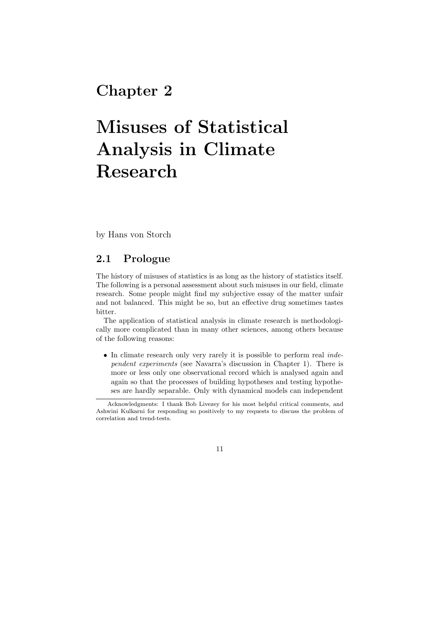# Chapter 2

# Misuses of Statistical Analysis in Climate Research

by Hans von Storch

## 2.1 Prologue

The history of misuses of statistics is as long as the history of statistics itself. The following is a personal assessment about such misuses in our field, climate research. Some people might find my subjective essay of the matter unfair and not balanced. This might be so, but an effective drug sometimes tastes bitter.

The application of statistical analysis in climate research is methodologically more complicated than in many other sciences, among others because of the following reasons:

• In climate research only very rarely it is possible to perform real *inde*pendent experiments (see Navarra's discussion in Chapter 1). There is more or less only one observational record which is analysed again and again so that the processes of building hypotheses and testing hypotheses are hardly separable. Only with dynamical models can independent

11

Acknowledgments: I thank Bob Livezey for his most helpful critical comments, and Ashwini Kulkarni for responding so positively to my requests to discuss the problem of correlation and trend-tests.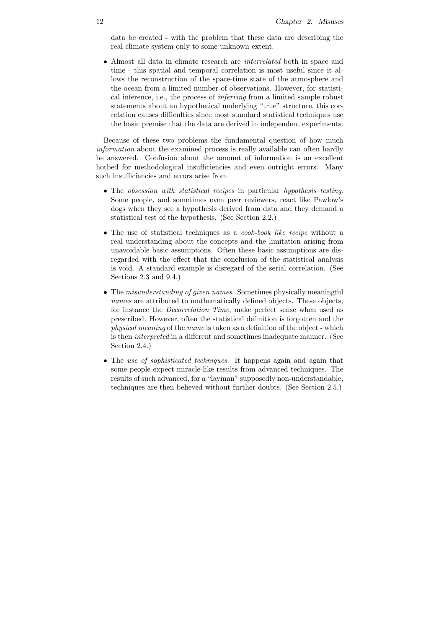data be created - with the problem that these data are describing the real climate system only to some unknown extent.

• Almost all data in climate research are interrelated both in space and time - this spatial and temporal correlation is most useful since it allows the reconstruction of the space-time state of the atmosphere and the ocean from a limited number of observations. However, for statistical inference, i.e., the process of inferring from a limited sample robust statements about an hypothetical underlying "true" structure, this correlation causes difficulties since most standard statistical techniques use the basic premise that the data are derived in independent experiments.

Because of these two problems the fundamental question of how much information about the examined process is really available can often hardly be answered. Confusion about the amount of information is an excellent hotbed for methodological insufficiencies and even outright errors. Many such insufficiencies and errors arise from

- The *obsession with statistical recipes* in particular *hypothesis testing*. Some people, and sometimes even peer reviewers, react like Pawlow's dogs when they see a hypothesis derived from data and they demand a statistical test of the hypothesis. (See Section 2.2.)
- The use of statistical techniques as a *cook-book like recipe* without a real understanding about the concepts and the limitation arising from unavoidable basic assumptions. Often these basic assumptions are disregarded with the effect that the conclusion of the statistical analysis is void. A standard example is disregard of the serial correlation. (See Sections 2.3 and 9.4.)
- The *misunderstanding of given names*. Sometimes physically meaningful names are attributed to mathematically defined objects. These objects, for instance the Decorrelation Time, make perfect sense when used as prescribed. However, often the statistical definition is forgotten and the physical meaning of the name is taken as a definition of the object - which is then interpreted in a different and sometimes inadequate manner. (See Section 2.4.)
- The use of sophisticated techniques. It happens again and again that some people expect miracle-like results from advanced techniques. The results of such advanced, for a "layman" supposedly non-understandable, techniques are then believed without further doubts. (See Section 2.5.)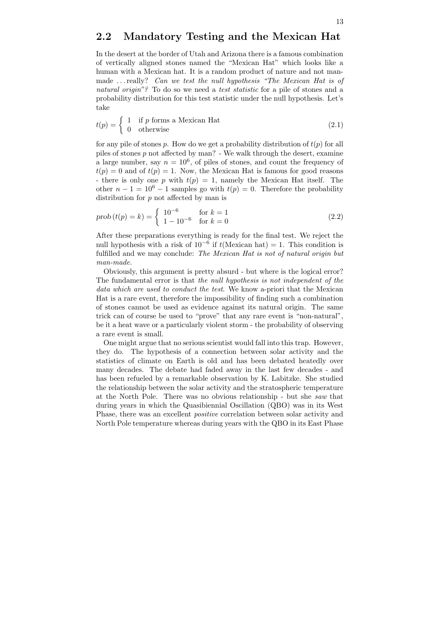## 2.2 Mandatory Testing and the Mexican Hat

In the desert at the border of Utah and Arizona there is a famous combination of vertically aligned stones named the "Mexican Hat" which looks like a human with a Mexican hat. It is a random product of nature and not manmade ... really? Can we test the null hypothesis "The Mexican Hat is of natural origin"? To do so we need a test statistic for a pile of stones and a probability distribution for this test statistic under the null hypothesis. Let's take

$$
t(p) = \begin{cases} 1 & \text{if } p \text{ forms a Mexican Hat} \\ 0 & \text{otherwise} \end{cases}
$$
 (2.1)

for any pile of stones p. How do we get a probability distribution of  $t(p)$  for all piles of stones p not affected by man? - We walk through the desert, examine a large number, say  $n = 10^6$ , of piles of stones, and count the frequency of  $t(p) = 0$  and of  $t(p) = 1$ . Now, the Mexican Hat is famous for good reasons - there is only one p with  $t(p) = 1$ , namely the Mexican Hat itself. The other  $n - 1 = 10^6 - 1$  samples go with  $t(p) = 0$ . Therefore the probability distribution for  $p$  not affected by man is

$$
prob(t(p) = k) = \begin{cases} 10^{-6} & \text{for } k = 1\\ 1 - 10^{-6} & \text{for } k = 0 \end{cases}
$$
 (2.2)

After these preparations everything is ready for the final test. We reject the null hypothesis with a risk of  $10^{-6}$  if  $t$ (Mexican hat) = 1. This condition is fulfilled and we may conclude: The Mexican Hat is not of natural origin but man-made.

Obviously, this argument is pretty absurd - but where is the logical error? The fundamental error is that the null hypothesis is not independent of the data which are used to conduct the test. We know a-priori that the Mexican Hat is a rare event, therefore the impossibility of finding such a combination of stones cannot be used as evidence against its natural origin. The same trick can of course be used to "prove" that any rare event is "non-natural", be it a heat wave or a particularly violent storm - the probability of observing a rare event is small.

One might argue that no serious scientist would fall into this trap. However, they do. The hypothesis of a connection between solar activity and the statistics of climate on Earth is old and has been debated heatedly over many decades. The debate had faded away in the last few decades - and has been refueled by a remarkable observation by K. Labitzke. She studied the relationship between the solar activity and the stratospheric temperature at the North Pole. There was no obvious relationship - but she saw that during years in which the Quasibiennial Oscillation (QBO) was in its West Phase, there was an excellent positive correlation between solar activity and North Pole temperature whereas during years with the QBO in its East Phase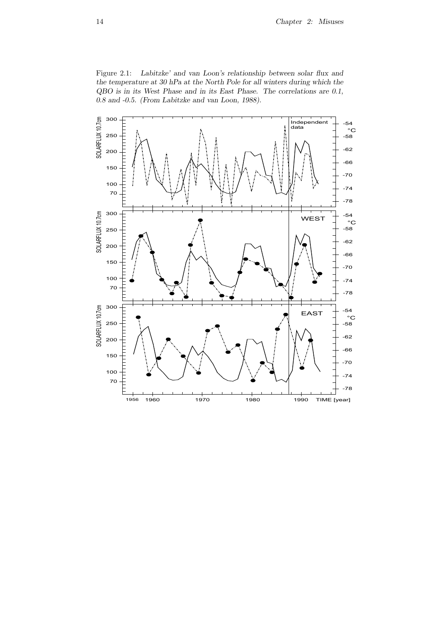Figure 2.1: Labitzke' and van Loon's relationship between solar flux and the temperature at 30 hPa at the North Pole for all winters during which the QBO is in its West Phase and in its East Phase. The correlations are 0.1, 0.8 and -0.5. (From Labitzke and van Loon, 1988).

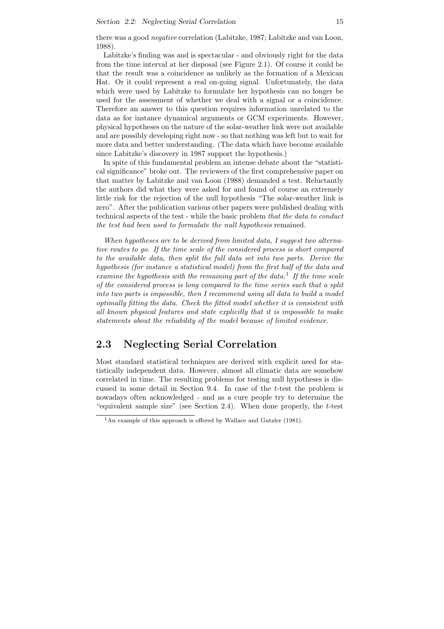there was a good negative correlation (Labitzke, 1987; Labitzke and van Loon, 1988).

Labitzke's finding was and is spectacular - and obviously right for the data from the time interval at her disposal (see Figure 2.1). Of course it could be that the result was a coincidence as unlikely as the formation of a Mexican Hat. Or it could represent a real on-going signal. Unfortunately, the data which were used by Labitzke to formulate her hypothesis can no longer be used for the assessment of whether we deal with a signal or a coincidence. Therefore an answer to this question requires information unrelated to the data as for instance dynamical arguments or GCM experiments. However, physical hypotheses on the nature of the solar-weather link were not available and are possibly developing right now - so that nothing was left but to wait for more data and better understanding. (The data which have become available since Labitzke's discovery in 1987 support the hypothesis.)

In spite of this fundamental problem an intense debate about the "statistical significance" broke out. The reviewers of the first comprehensive paper on that matter by Labitzke and van Loon (1988) demanded a test. Reluctantly the authors did what they were asked for and found of course an extremely little risk for the rejection of the null hypothesis "The solar-weather link is zero". After the publication various other papers were published dealing with technical aspects of the test - while the basic problem that the data to conduct the test had been used to formulate the null hypothesis remained.

When hypotheses are to be derived from limited data, I suggest two alternative routes to go. If the time scale of the considered process is short compared to the available data, then split the full data set into two parts. Derive the hypothesis (for instance a statistical model) from the first half of the data and examine the hypothesis with the remaining part of the data.<sup>1</sup> If the time scale of the considered process is long compared to the time series such that a split into two parts is impossible, then I recommend using all data to build a model optimally fitting the data. Check the fitted model whether it is consistent with all known physical features and state explicitly that it is impossible to make statements about the reliability of the model because of limited evidence.

# 2.3 Neglecting Serial Correlation

Most standard statistical techniques are derived with explicit need for statistically independent data. However, almost all climatic data are somehow correlated in time. The resulting problems for testing null hypotheses is discussed in some detail in Section 9.4. In case of the t-test the problem is nowadays often acknowledged - and as a cure people try to determine the "equivalent sample size" (see Section 2.4). When done properly, the  $t$ -test

<sup>&</sup>lt;sup>1</sup>An example of this approach is offered by Wallace and Gutzler (1981).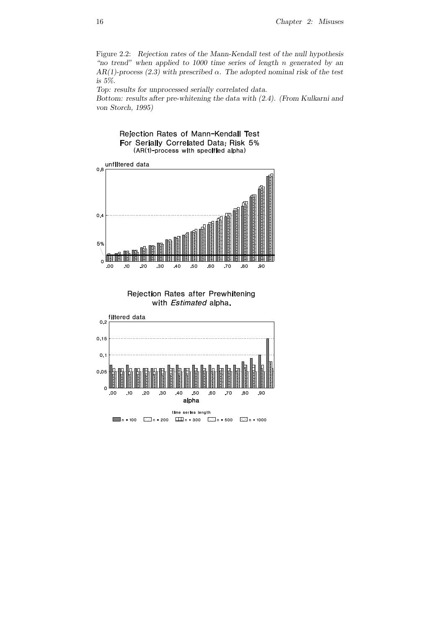Figure 2.2: Rejection rates of the Mann-Kendall test of the null hypothesis "no trend" when applied to 1000 time series of length n generated by an  $AR(1)$ -process (2.3) with prescribed  $\alpha$ . The adopted nominal risk of the test is 5%.

Top: results for unprocessed serially correlated data.

Bottom: results after pre-whitening the data with (2.4). (From Kulkarni and von Storch, 1995)







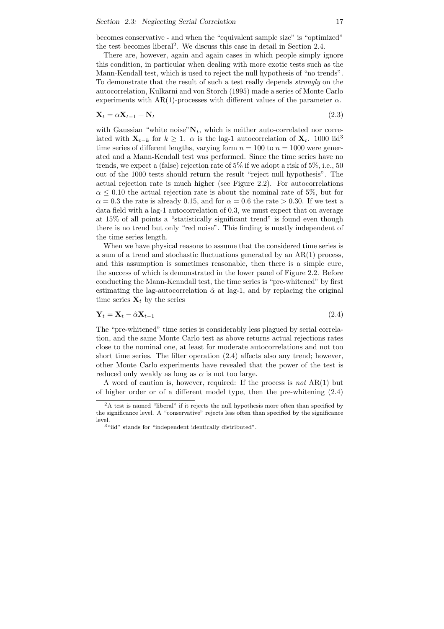#### Section 2.3: Neglecting Serial Correlation 17

becomes conservative - and when the "equivalent sample size" is "optimized" the test becomes liberal<sup>2</sup>. We discuss this case in detail in Section 2.4.

There are, however, again and again cases in which people simply ignore this condition, in particular when dealing with more exotic tests such as the Mann-Kendall test, which is used to reject the null hypothesis of "no trends". To demonstrate that the result of such a test really depends strongly on the autocorrelation, Kulkarni and von Storch (1995) made a series of Monte Carlo experiments with AR(1)-processes with different values of the parameter  $\alpha$ .

$$
\mathbf{X}_t = \alpha \mathbf{X}_{t-1} + \mathbf{N}_t \tag{2.3}
$$

with Gaussian "white noise" $N_t$ , which is neither auto-correlated nor correlated with  $\mathbf{X}_{t-k}$  for  $k ≥ 1$ .  $\alpha$  is the lag-1 autocorrelation of  $\mathbf{X}_{t}$ . 1000 iid<sup>3</sup> time series of different lengths, varying form  $n = 100$  to  $n = 1000$  were generated and a Mann-Kendall test was performed. Since the time series have no trends, we expect a (false) rejection rate of 5% if we adopt a risk of 5%, i.e., 50 out of the 1000 tests should return the result "reject null hypothesis". The actual rejection rate is much higher (see Figure 2.2). For autocorrelations  $\alpha \leq 0.10$  the actual rejection rate is about the nominal rate of 5%, but for  $\alpha = 0.3$  the rate is already 0.15, and for  $\alpha = 0.6$  the rate  $> 0.30$ . If we test a data field with a lag-1 autocorrelation of 0.3, we must expect that on average at 15% of all points a "statistically significant trend" is found even though there is no trend but only "red noise". This finding is mostly independent of the time series length.

When we have physical reasons to assume that the considered time series is a sum of a trend and stochastic fluctuations generated by an AR(1) process, and this assumption is sometimes reasonable, then there is a simple cure, the success of which is demonstrated in the lower panel of Figure 2.2. Before conducting the Mann-Kenndall test, the time series is "pre-whitened" by first estimating the lag-autocorrelation  $\hat{\alpha}$  at lag-1, and by replacing the original time series  $\mathbf{X}_t$  by the series

$$
\mathbf{Y}_t = \mathbf{X}_t - \hat{\alpha} \mathbf{X}_{t-1} \tag{2.4}
$$

The "pre-whitened" time series is considerably less plagued by serial correlation, and the same Monte Carlo test as above returns actual rejections rates close to the nominal one, at least for moderate autocorrelations and not too short time series. The filter operation (2.4) affects also any trend; however, other Monte Carlo experiments have revealed that the power of the test is reduced only weakly as long as  $\alpha$  is not too large.

A word of caution is, however, required: If the process is not  $AR(1)$  but of higher order or of a different model type, then the pre-whitening (2.4)

<sup>&</sup>lt;sup>2</sup>A test is named "liberal" if it rejects the null hypothesis more often than specified by the significance level. A "conservative" rejects less often than specified by the significance level.

 $^3$  "iid" stands for "independent identically distributed".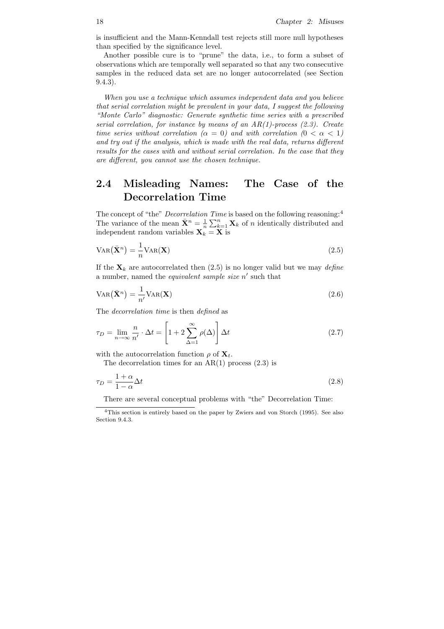is insufficient and the Mann-Kenndall test rejects still more null hypotheses than specified by the significance level.

Another possible cure is to "prune" the data, i.e., to form a subset of observations which are temporally well separated so that any two consecutive samples in the reduced data set are no longer autocorrelated (see Section 9.4.3).

When you use a technique which assumes independent data and you believe that serial correlation might be prevalent in your data, I suggest the following "Monte Carlo" diagnostic: Generate synthetic time series with a prescribed serial correlation, for instance by means of an  $AR(1)$ -process (2.3). Create time series without correlation ( $\alpha = 0$ ) and with correlation ( $0 < \alpha < 1$ ) and try out if the analysis, which is made with the real data, returns different results for the cases with and without serial correlation. In the case that they are different, you cannot use the chosen technique.

# 2.4 Misleading Names: The Case of the Decorrelation Time

The concept of "the" *Decorrelation Time* is based on the following reasoning:<sup>4</sup> The variance of the mean  $\bar{\mathbf{X}}^n = \frac{1}{n} \sum_{k=1}^n \mathbf{X}_k$  of *n* identically distributed and independent random variables  $\mathbf{X}_k = \mathbf{X}$  is

$$
VAR(\bar{\mathbf{X}}^n) = \frac{1}{n} VAR(\mathbf{X})
$$
\n(2.5)

If the  $X_k$  are autocorrelated then (2.5) is no longer valid but we may define a number, named the *equivalent sample size*  $n'$  such that

$$
VAR(\bar{\mathbf{X}}^n) = \frac{1}{n'} VAR(\mathbf{X})
$$
\n(2.6)

The decorrelation time is then defined as

$$
\tau_D = \lim_{n \to \infty} \frac{n}{n'} \cdot \Delta t = \left[ 1 + 2 \sum_{\Delta=1}^{\infty} \rho(\Delta) \right] \Delta t \tag{2.7}
$$

with the autocorrelation function  $\rho$  of  $\mathbf{X}_t$ .

The decorrelation times for an  $AR(1)$  process  $(2.3)$  is

$$
\tau_D = \frac{1+\alpha}{1-\alpha} \Delta t \tag{2.8}
$$

There are several conceptual problems with "the" Decorrelation Time:

<sup>4</sup>This section is entirely based on the paper by Zwiers and von Storch (1995). See also Section 9.4.3.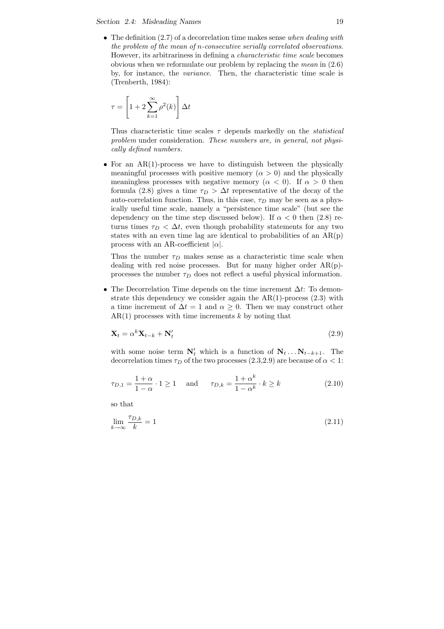#### Section 2.4: Misleading Names 19

• The definition  $(2.7)$  of a decorrelation time makes sense when dealing with the problem of the mean of n-consecutive serially correlated observations. However, its arbitrariness in defining a characteristic time scale becomes obvious when we reformulate our problem by replacing the *mean* in  $(2.6)$ by, for instance, the variance. Then, the characteristic time scale is (Trenberth, 1984):

$$
\tau = \left[1 + 2\sum_{k=1}^{\infty} \rho^2(k)\right] \Delta t
$$

Thus characteristic time scales  $\tau$  depends markedly on the *statistical* problem under consideration. These numbers are, in general, not physically defined numbers.

• For an  $AR(1)$ -process we have to distinguish between the physically meaningful processes with positive memory  $(\alpha > 0)$  and the physically meaningless processes with negative memory ( $\alpha < 0$ ). If  $\alpha > 0$  then formula (2.8) gives a time  $\tau_D > \Delta t$  representative of the decay of the auto-correlation function. Thus, in this case,  $\tau_D$  may be seen as a physically useful time scale, namely a "persistence time scale" (but see the dependency on the time step discussed below). If  $\alpha < 0$  then (2.8) returns times  $\tau_D < \Delta t$ , even though probability statements for any two states with an even time lag are identical to probabilities of an  $AR(p)$ process with an AR-coefficient  $|\alpha|$ .

Thus the number  $\tau_D$  makes sense as a characteristic time scale when dealing with red noise processes. But for many higher order AR(p) processes the number  $\tau_D$  does not reflect a useful physical information.

• The Decorrelation Time depends on the time increment  $\Delta t$ : To demonstrate this dependency we consider again the  $AR(1)$ -process  $(2.3)$  with a time increment of  $\Delta t = 1$  and  $\alpha > 0$ . Then we may construct other  $AR(1)$  processes with time increments k by noting that

$$
\mathbf{X}_t = \alpha^k \mathbf{X}_{t-k} + \mathbf{N}'_t \tag{2.9}
$$

with some noise term  $N'_t$  which is a function of  $N_t \ldots N_{t-k+1}$ . The decorrelation times  $\tau_D$  of the two processes (2.3,2.9) are because of  $\alpha < 1$ :

$$
\tau_{D,1} = \frac{1+\alpha}{1-\alpha} \cdot 1 \ge 1 \quad \text{and} \quad \tau_{D,k} = \frac{1+\alpha^k}{1-\alpha^k} \cdot k \ge k \tag{2.10}
$$

so that

$$
\lim_{k \to \infty} \frac{\tau_{D,k}}{k} = 1\tag{2.11}
$$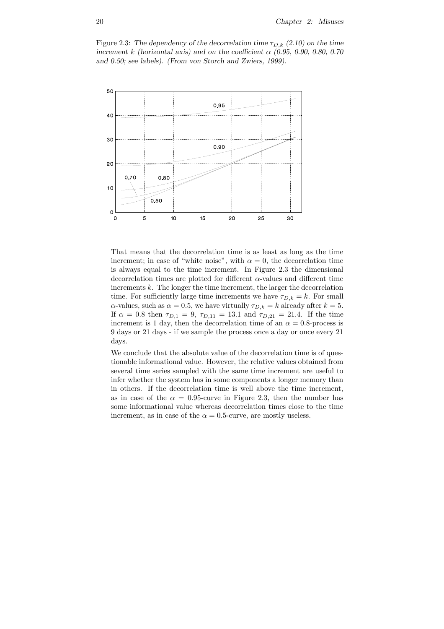Figure 2.3: The dependency of the decorrelation time  $\tau_{D,k}$  (2.10) on the time increment k (horizontal axis) and on the coefficient  $\alpha$  (0.95, 0.90, 0.80, 0.70 and 0.50; see labels). (From von Storch and Zwiers, 1999).



That means that the decorrelation time is as least as long as the time increment; in case of "white noise", with  $\alpha = 0$ , the decorrelation time is always equal to the time increment. In Figure 2.3 the dimensional decorrelation times are plotted for different  $\alpha$ -values and different time increments  $k$ . The longer the time increment, the larger the decorrelation time. For sufficiently large time increments we have  $\tau_{D,k} = k$ . For small  $\alpha$ -values, such as  $\alpha = 0.5$ , we have virtually  $\tau_{D,k} = k$  already after  $k = 5$ . If  $\alpha = 0.8$  then  $\tau_{D,1} = 9$ ,  $\tau_{D,11} = 13.1$  and  $\tau_{D,21} = 21.4$ . If the time increment is 1 day, then the decorrelation time of an  $\alpha = 0.8$ -process is 9 days or 21 days - if we sample the process once a day or once every 21 days.

We conclude that the absolute value of the decorrelation time is of questionable informational value. However, the relative values obtained from several time series sampled with the same time increment are useful to infer whether the system has in some components a longer memory than in others. If the decorrelation time is well above the time increment, as in case of the  $\alpha = 0.95$ -curve in Figure 2.3, then the number has some informational value whereas decorrelation times close to the time increment, as in case of the  $\alpha = 0.5$ -curve, are mostly useless.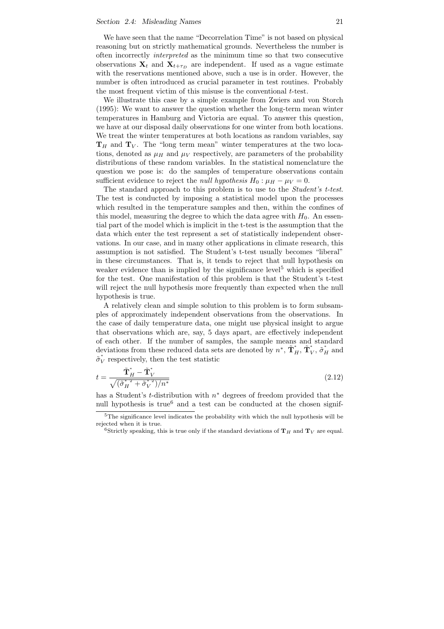### Section 2.4: Misleading Names 21

We have seen that the name "Decorrelation Time" is not based on physical reasoning but on strictly mathematical grounds. Nevertheless the number is often incorrectly interpreted as the minimum time so that two consecutive observations  $X_t$  and  $X_{t+\tau_D}$  are independent. If used as a vague estimate with the reservations mentioned above, such a use is in order. However, the number is often introduced as crucial parameter in test routines. Probably the most frequent victim of this misuse is the conventional  $t$ -test.

We illustrate this case by a simple example from Zwiers and von Storch (1995): We want to answer the question whether the long-term mean winter temperatures in Hamburg and Victoria are equal. To answer this question, we have at our disposal daily observations for one winter from both locations. We treat the winter temperatures at both locations as random variables, say  $T_H$  and  $T_V$ . The "long term mean" winter temperatures at the two locations, denoted as  $\mu$ <sub>H</sub> and  $\mu$ <sub>V</sub> respectively, are parameters of the probability distributions of these random variables. In the statistical nomenclature the question we pose is: do the samples of temperature observations contain sufficient evidence to reject the *null hypothesis*  $H_0$ :  $\mu_H - \mu_V = 0$ .

The standard approach to this problem is to use to the Student's t-test. The test is conducted by imposing a statistical model upon the processes which resulted in the temperature samples and then, within the confines of this model, measuring the degree to which the data agree with  $H_0$ . An essential part of the model which is implicit in the t-test is the assumption that the data which enter the test represent a set of statistically independent observations. In our case, and in many other applications in climate research, this assumption is not satisfied. The Student's t-test usually becomes "liberal" in these circumstances. That is, it tends to reject that null hypothesis on weaker evidence than is implied by the significance level<sup>5</sup> which is specified for the test. One manifestation of this problem is that the Student's t-test will reject the null hypothesis more frequently than expected when the null hypothesis is true.

A relatively clean and simple solution to this problem is to form subsamples of approximately independent observations from the observations. In the case of daily temperature data, one might use physical insight to argue that observations which are, say, 5 days apart, are effectively independent of each other. If the number of samples, the sample means and standard deviations from these reduced data sets are denoted by  $n^*$ ,  $\tilde{\mathbf{T}}_H^*$ ,  $\tilde{\mathbf{T}}_V^*$ eviations from these reduced data sets are denoted by  $n^*$ ,  $\tilde{\mathbf{T}}_H^*$ ,  $\tilde{\mathbf{T}}_V^*$ ,  $\tilde{\sigma}_H^*$  and  $\tilde{\sigma}_V^{\dagger}$  respectively, then the test statistic

$$
t = \frac{\tilde{\mathbf{T}}_H^* - \tilde{\mathbf{T}}_V^*}{\sqrt{(\tilde{\sigma}_H^*^2 + \tilde{\sigma}_V^*^2)/n^*}}
$$
(2.12)

has a Student's *t*-distribution with  $n^*$  degrees of freedom provided that the null hypothesis is true<sup>6</sup> and a test can be conducted at the chosen signif-

 $5$ The significance level indicates the probability with which the null hypothesis will be rejected when it is true.

<sup>&</sup>lt;sup>6</sup>Strictly speaking, this is true only if the standard deviations of  $T_H$  and  $T_V$  are equal.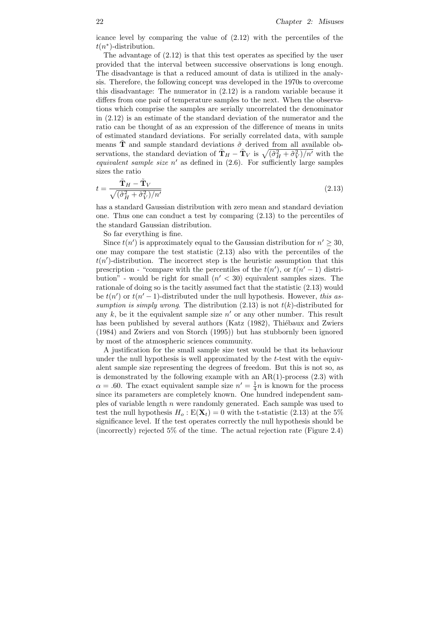icance level by comparing the value of (2.12) with the percentiles of the  $t(n^*)$ -distribution.

The advantage of (2.12) is that this test operates as specified by the user provided that the interval between successive observations is long enough. The disadvantage is that a reduced amount of data is utilized in the analysis. Therefore, the following concept was developed in the 1970s to overcome this disadvantage: The numerator in (2.12) is a random variable because it differs from one pair of temperature samples to the next. When the observations which comprise the samples are serially uncorrelated the denominator in (2.12) is an estimate of the standard deviation of the numerator and the ratio can be thought of as an expression of the difference of means in units of estimated standard deviations. For serially correlated data, with sample means T and sample standard deviations  $\tilde{\sigma}$  derived from all available observations, the standard deviation of  $\tilde{\mathbf{T}}_H - \tilde{\mathbf{T}}_V$  is  $\sqrt{(\tilde{\sigma}_H^2 + \tilde{\sigma}_V^2)/n'}$  with the equivalent sample size  $n'$  as defined in  $(2.6)$ . For sufficiently large samples sizes the ratio

$$
t = \frac{\tilde{\mathbf{T}}_H - \tilde{\mathbf{T}}_V}{\sqrt{(\tilde{\sigma}_H^2 + \tilde{\sigma}_V^2)/n'}}
$$
\n(2.13)

has a standard Gaussian distribution with zero mean and standard deviation one. Thus one can conduct a test by comparing (2.13) to the percentiles of the standard Gaussian distribution.

So far everything is fine.

Since  $t(n')$  is approximately equal to the Gaussian distribution for  $n' \geq 30$ , one may compare the test statistic (2.13) also with the percentiles of the  $t(n')$ -distribution. The incorrect step is the heuristic assumption that this prescription - "compare with the percentiles of the  $t(n')$ , or  $\bar{t}(n'-1)$  distribution" - would be right for small  $(n' < 30)$  equivalent samples sizes. The rationale of doing so is the tacitly assumed fact that the statistic (2.13) would be  $t(n')$  or  $t(n'-1)$ -distributed under the null hypothesis. However, this assumption is simply wrong. The distribution  $(2.13)$  is not  $t(k)$ -distributed for any  $k$ , be it the equivalent sample size  $n'$  or any other number. This result has been published by several authors (Katz (1982), Thiébaux and Zwiers (1984) and Zwiers and von Storch (1995)) but has stubbornly been ignored by most of the atmospheric sciences community.

A justification for the small sample size test would be that its behaviour under the null hypothesis is well approximated by the  $t$ -test with the equivalent sample size representing the degrees of freedom. But this is not so, as is demonstrated by the following example with an  $AR(1)$ -process  $(2.3)$  with  $\alpha = .60$ . The exact equivalent sample size  $n' = \frac{1}{4}n$  is known for the process since its parameters are completely known. One hundred independent samples of variable length  $n$  were randomly generated. Each sample was used to test the null hypothesis  $H_o: E(\mathbf{X}_t) = 0$  with the t-statistic (2.13) at the 5% significance level. If the test operates correctly the null hypothesis should be (incorrectly) rejected 5% of the time. The actual rejection rate (Figure 2.4)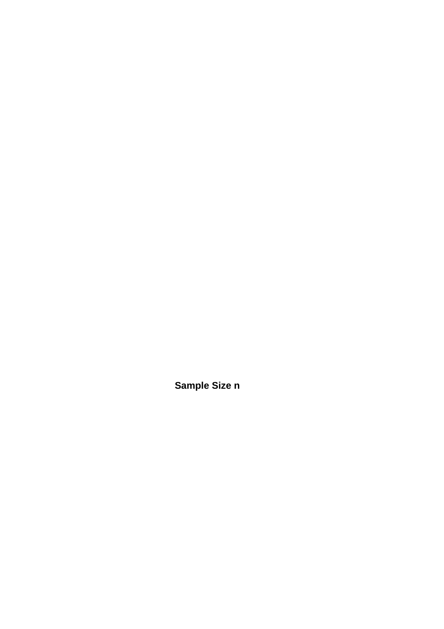**Sample Size n**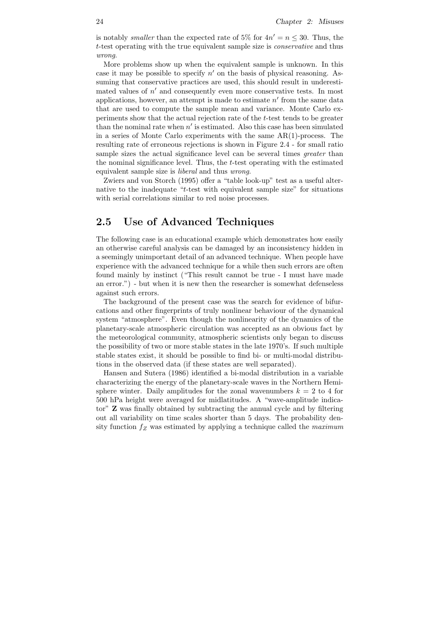is notably *smaller* than the expected rate of 5% for  $4n' = n \le 30$ . Thus, the t-test operating with the true equivalent sample size is conservative and thus wrong.

More problems show up when the equivalent sample is unknown. In this case it may be possible to specify  $n'$  on the basis of physical reasoning. Assuming that conservative practices are used, this should result in underestimated values of  $n'$  and consequently even more conservative tests. In most applications, however, an attempt is made to estimate  $n'$  from the same data that are used to compute the sample mean and variance. Monte Carlo experiments show that the actual rejection rate of the t-test tends to be greater than the nominal rate when  $n'$  is estimated. Also this case has been simulated in a series of Monte Carlo experiments with the same AR(1)-process. The resulting rate of erroneous rejections is shown in Figure 2.4 - for small ratio sample sizes the actual significance level can be several times *greater* than the nominal significance level. Thus, the  $t$ -test operating with the estimated equivalent sample size is liberal and thus wrong.

Zwiers and von Storch (1995) offer a "table look-up" test as a useful alternative to the inadequate "t-test with equivalent sample size" for situations with serial correlations similar to red noise processes.

### 2.5 Use of Advanced Techniques

The following case is an educational example which demonstrates how easily an otherwise careful analysis can be damaged by an inconsistency hidden in a seemingly unimportant detail of an advanced technique. When people have experience with the advanced technique for a while then such errors are often found mainly by instinct ("This result cannot be true - I must have made an error.") - but when it is new then the researcher is somewhat defenseless against such errors.

The background of the present case was the search for evidence of bifurcations and other fingerprints of truly nonlinear behaviour of the dynamical system "atmosphere". Even though the nonlinearity of the dynamics of the planetary-scale atmospheric circulation was accepted as an obvious fact by the meteorological community, atmospheric scientists only began to discuss the possibility of two or more stable states in the late 1970's. If such multiple stable states exist, it should be possible to find bi- or multi-modal distributions in the observed data (if these states are well separated).

Hansen and Sutera (1986) identified a bi-modal distribution in a variable characterizing the energy of the planetary-scale waves in the Northern Hemisphere winter. Daily amplitudes for the zonal wavenumbers  $k = 2$  to 4 for 500 hPa height were averaged for midlatitudes. A "wave-amplitude indicator" Z was finally obtained by subtracting the annual cycle and by filtering out all variability on time scales shorter than 5 days. The probability density function  $f_Z$  was estimated by applying a technique called the *maximum*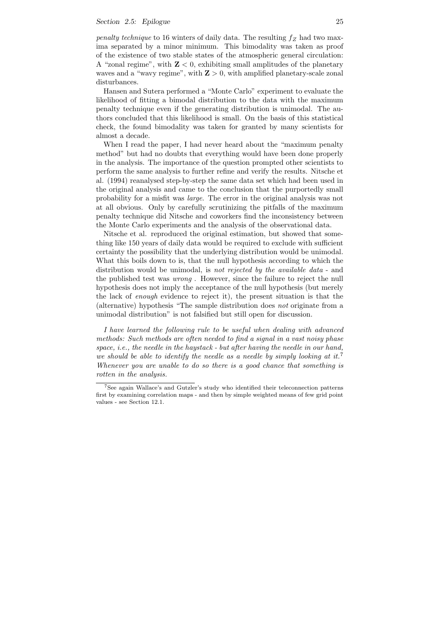### Section 2.5: Epilogue 25

penalty technique to 16 winters of daily data. The resulting  $f_Z$  had two maxima separated by a minor minimum. This bimodality was taken as proof of the existence of two stable states of the atmospheric general circulation: A "zonal regime", with  $\mathbf{Z} < 0$ , exhibiting small amplitudes of the planetary waves and a "wavy regime", with  $\mathbf{Z} > 0$ , with amplified planetary-scale zonal disturbances.

Hansen and Sutera performed a "Monte Carlo" experiment to evaluate the likelihood of fitting a bimodal distribution to the data with the maximum penalty technique even if the generating distribution is unimodal. The authors concluded that this likelihood is small. On the basis of this statistical check, the found bimodality was taken for granted by many scientists for almost a decade.

When I read the paper, I had never heard about the "maximum penalty method" but had no doubts that everything would have been done properly in the analysis. The importance of the question prompted other scientists to perform the same analysis to further refine and verify the results. Nitsche et al. (1994) reanalysed step-by-step the same data set which had been used in the original analysis and came to the conclusion that the purportedly small probability for a misfit was large. The error in the original analysis was not at all obvious. Only by carefully scrutinizing the pitfalls of the maximum penalty technique did Nitsche and coworkers find the inconsistency between the Monte Carlo experiments and the analysis of the observational data.

Nitsche et al. reproduced the original estimation, but showed that something like 150 years of daily data would be required to exclude with sufficient certainty the possibility that the underlying distribution would be unimodal. What this boils down to is, that the null hypothesis according to which the distribution would be unimodal, is not rejected by the available data - and the published test was wrong . However, since the failure to reject the null hypothesis does not imply the acceptance of the null hypothesis (but merely the lack of enough evidence to reject it), the present situation is that the (alternative) hypothesis "The sample distribution does not originate from a unimodal distribution" is not falsified but still open for discussion.

I have learned the following rule to be useful when dealing with advanced methods: Such methods are often needed to find a signal in a vast noisy phase space, *i.e.*, the needle in the haystack - but after having the needle in our hand, we should be able to identify the needle as a needle by simply looking at it.<sup>7</sup> Whenever you are unable to do so there is a good chance that something is rotten in the analysis.

<sup>7</sup>See again Wallace's and Gutzler's study who identified their teleconnection patterns first by examining correlation maps - and then by simple weighted means of few grid point values - see Section 12.1.